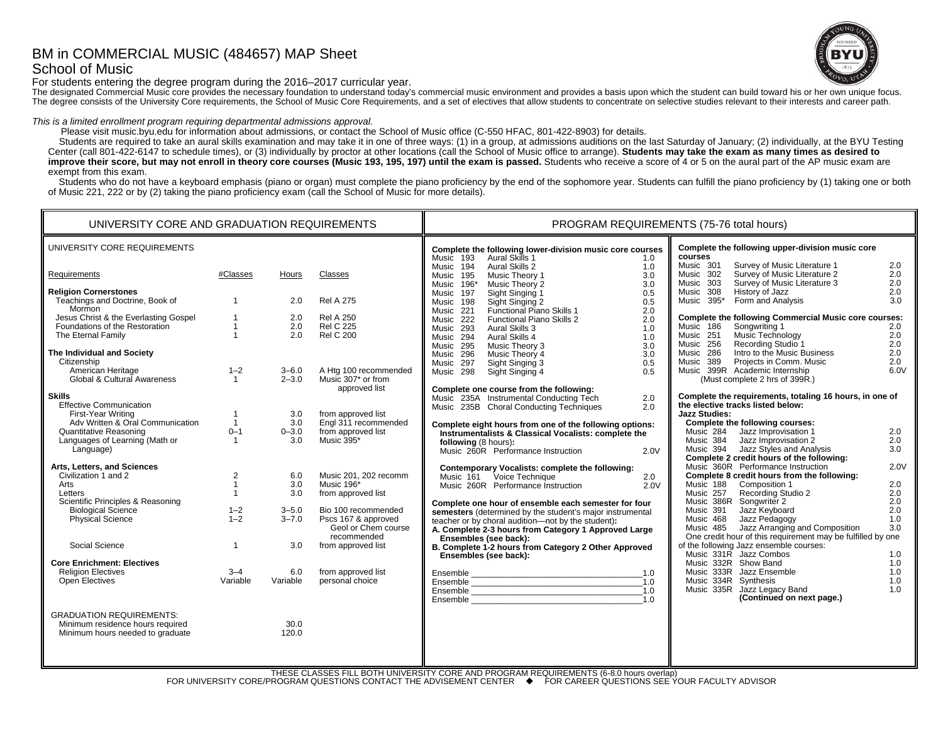# BM in COMMERCIAL MUSIC (484657) MAP Sheet School of Music



For students entering the degree program during the 2016–2017 curricular year.

The designated Commercial Music core provides the necessary foundation to understand today's commercial music environment and provides a basis upon which the student can build toward his or her own unique focus. The degree consists of the University Core requirements, the School of Music Core Requirements, and a set of electives that allow students to concentrate on selective studies relevant to their interests and career path.

### *This is a limited enrollment program requiring departmental admissions approval.*

Please visit music.byu.edu for information about admissions, or contact the School of Music office (C-550 HFAC, 801-422-8903) for details.

Students are required to take an aural skills examination and may take it in one of three ways: (1) in a group, at admissions auditions on the last Saturday of January; (2) individually, at the BYU Testing Center (call 801-422-6147 to schedule times), or (3) individually by proctor at other locations (call the School of Music office to arrange). **Students may take the exam as many times as desired to**  improve their score, but may not enroll in theory core courses (Music 193, 195, 197) until the exam is passed. Students who receive a score of 4 or 5 on the aural part of the AP music exam are exempt from this exam.

Students who do not have a keyboard emphasis (piano or organ) must complete the piano proficiency by the end of the sophomore year. Students can fulfill the piano proficiency by (1) taking one or both of Music 221, 222 or by (2) taking the piano proficiency exam (call the School of Music for more details).

| UNIVERSITY CORE AND GRADUATION REQUIREMENTS                                                                                                                                                                                                                                                                                                                                                                      |                                                                                                                          |                                                                                      |                                                                                                                                                                                                                                                                        | PROGRAM REQUIREMENTS (75-76 total hours)                                                                                                                                                                                                                                                                                                                                                                                                                                                                                                                                                                                                                                                                                                                                                                                                                                                                                                                                                                                                                                                                                                                                                                                                                                                                                                                                                                                                                                                                                                                                                            |                                                                                   |  |  |
|------------------------------------------------------------------------------------------------------------------------------------------------------------------------------------------------------------------------------------------------------------------------------------------------------------------------------------------------------------------------------------------------------------------|--------------------------------------------------------------------------------------------------------------------------|--------------------------------------------------------------------------------------|------------------------------------------------------------------------------------------------------------------------------------------------------------------------------------------------------------------------------------------------------------------------|-----------------------------------------------------------------------------------------------------------------------------------------------------------------------------------------------------------------------------------------------------------------------------------------------------------------------------------------------------------------------------------------------------------------------------------------------------------------------------------------------------------------------------------------------------------------------------------------------------------------------------------------------------------------------------------------------------------------------------------------------------------------------------------------------------------------------------------------------------------------------------------------------------------------------------------------------------------------------------------------------------------------------------------------------------------------------------------------------------------------------------------------------------------------------------------------------------------------------------------------------------------------------------------------------------------------------------------------------------------------------------------------------------------------------------------------------------------------------------------------------------------------------------------------------------------------------------------------------------|-----------------------------------------------------------------------------------|--|--|
| UNIVERSITY CORE REQUIREMENTS                                                                                                                                                                                                                                                                                                                                                                                     |                                                                                                                          |                                                                                      |                                                                                                                                                                                                                                                                        | Complete the following upper-division music core<br>Complete the following lower-division music core courses<br>courses<br>Music 193<br>Aural Skills 1<br>1.0<br>Music 301<br>Survey of Music Literature 1                                                                                                                                                                                                                                                                                                                                                                                                                                                                                                                                                                                                                                                                                                                                                                                                                                                                                                                                                                                                                                                                                                                                                                                                                                                                                                                                                                                          | 2.0                                                                               |  |  |
| Requirements                                                                                                                                                                                                                                                                                                                                                                                                     | #Classes                                                                                                                 | <b>Hours</b>                                                                         | Classes                                                                                                                                                                                                                                                                | Aural Skills 2<br>Music 194<br>1.0<br>Survey of Music Literature 2<br>Music 302<br>Music Theory 1<br>3.0<br>Music 195<br>Survey of Music Literature 3<br>Music 303<br>Music Theory 2<br>3.0                                                                                                                                                                                                                                                                                                                                                                                                                                                                                                                                                                                                                                                                                                                                                                                                                                                                                                                                                                                                                                                                                                                                                                                                                                                                                                                                                                                                         | 2.0<br>2.0                                                                        |  |  |
| <b>Religion Cornerstones</b><br>Teachings and Doctrine, Book of<br>Mormon<br>Jesus Christ & the Everlasting Gospel<br>Foundations of the Restoration<br>The Eternal Family<br>The Individual and Society                                                                                                                                                                                                         | $\mathbf{1}$<br>$\mathbf{1}$<br>$\overline{1}$                                                                           | 2.0<br>2.0<br>2.0<br>2.0                                                             | <b>Rel A 275</b><br><b>Rel A 250</b><br><b>Rel C 225</b><br><b>Rel C 200</b>                                                                                                                                                                                           | Music 196*<br>History of Jazz<br>Music 308<br>0.5<br>Music 197<br>Sight Singing 1<br>Sight Singing 2<br>Form and Analysis<br>Music 395*<br>0.5<br>Music 198<br>Functional Piano Skills 1<br>Music 221<br>2.0<br>Complete the following Commercial Music core courses:<br>Functional Piano Skills 2<br>2.0<br>Music 222<br>Music 186<br>Songwriting 1<br>Aural Skills 3<br>1.0<br>Music 293<br>Music Technology<br>Music 251<br>Aural Skills 4<br>1.0<br>Music 294<br>Recording Studio 1<br>Music 256<br>Music Theory 3<br>3.0<br>Music 295<br>Intro to the Music Business<br>Music 286<br>Music Theory 4<br>3.0<br>Music 296                                                                                                                                                                                                                                                                                                                                                                                                                                                                                                                                                                                                                                                                                                                                                                                                                                                                                                                                                                        | 2.0<br>3.0<br>2.0<br>2.0<br>2.0<br>2.0                                            |  |  |
| Citizenship<br>American Heritage<br>Global & Cultural Awareness                                                                                                                                                                                                                                                                                                                                                  | $1 - 2$<br>$\overline{1}$                                                                                                | $3 - 6.0$<br>$2 - 3.0$                                                               | A Htg 100 recommended<br>Music 307* or from                                                                                                                                                                                                                            | Projects in Comm. Music<br>Music 389<br>Sight Singing 3<br>0.5<br>Music 297<br>Music 399R Academic Internship<br>Music 298<br>Sight Singing 4<br>0.5<br>(Must complete 2 hrs of 399R.)                                                                                                                                                                                                                                                                                                                                                                                                                                                                                                                                                                                                                                                                                                                                                                                                                                                                                                                                                                                                                                                                                                                                                                                                                                                                                                                                                                                                              | 2.0<br>6.0V                                                                       |  |  |
| <b>Skills</b><br><b>Effective Communication</b><br>First-Year Writing<br>Adv Written & Oral Communication<br><b>Quantitative Reasoning</b><br>Languages of Learning (Math or<br>Language)<br>Arts, Letters, and Sciences<br>Civilization 1 and 2<br>Arts<br>Letters<br>Scientific Principles & Reasoning<br><b>Biological Science</b><br>Physical Science<br>Social Science<br><b>Core Enrichment: Electives</b> | $\mathbf{1}$<br>$\overline{1}$<br>$0 - 1$<br>$\overline{1}$<br>2<br>$\mathbf{1}$<br>$1 - 2$<br>$1 - 2$<br>$\overline{1}$ | 3.0<br>3.0<br>$0 - 3.0$<br>3.0<br>6.0<br>3.0<br>3.0<br>$3 - 5.0$<br>$3 - 7.0$<br>3.0 | approved list<br>from approved list<br>Engl 311 recommended<br>from approved list<br>Music 395*<br>Music 201, 202 recomm<br>Music 196*<br>from approved list<br>Bio 100 recommended<br>Pscs 167 & approved<br>Geol or Chem course<br>recommended<br>from approved list | Complete one course from the following:<br>Complete the requirements, totaling 16 hours, in one of<br>Music 235A Instrumental Conducting Tech<br>2.0<br>the elective tracks listed below:<br>Music 235B Choral Conducting Techniques<br>2.0<br><b>Jazz Studies:</b><br>Complete the following courses:<br>Complete eight hours from one of the following options:<br>Jazz Improvisation 1<br>Instrumentalists & Classical Vocalists: complete the<br>Music 284<br>Music 384<br>Jazz Improvisation 2<br>following (8 hours):<br>Music 394 Jazz Styles and Analysis<br>Music 260R Performance Instruction<br>2.0V<br>Complete 2 credit hours of the following:<br>Music 360R Performance Instruction<br>Contemporary Vocalists: complete the following:<br>Complete 8 credit hours from the following:<br>Music 161 Voice Technique<br>2.0<br>Music 188 Composition 1<br>Music 260R Performance Instruction<br>2.0V<br>Recording Studio 2<br>Music 257<br>Music 386R Songwriter 2<br>Complete one hour of ensemble each semester for four<br>Music 391<br>Jazz Keyboard<br>semesters (determined by the student's major instrumental<br>Jazz Pedagogy<br>Music 468<br>teacher or by choral audition-not by the student):<br>Jazz Arranging and Composition<br>Music 485<br>A. Complete 2-3 hours from Category 1 Approved Large<br>One credit hour of this requirement may be fulfilled by one<br>Ensembles (see back):<br>of the following Jazz ensemble courses:<br>B. Complete 1-2 hours from Category 2 Other Approved<br>Music 331R Jazz Combos<br>Ensembles (see back):<br>Music 332R Show Band | 2.0<br>2.0<br>3.0<br>2.0V<br>2.0<br>2.0<br>2.0<br>2.0<br>1.0<br>3.0<br>1.0<br>1.0 |  |  |
| <b>Religion Electives</b><br>Open Electives                                                                                                                                                                                                                                                                                                                                                                      | $3 - 4$<br>Variable                                                                                                      | 6.0<br>Variable                                                                      | from approved list<br>personal choice                                                                                                                                                                                                                                  | Music 333R Jazz Ensemble<br>Music 334R Synthesis<br>Music 335R Jazz Legacy Band<br>(Continued on next page.)                                                                                                                                                                                                                                                                                                                                                                                                                                                                                                                                                                                                                                                                                                                                                                                                                                                                                                                                                                                                                                                                                                                                                                                                                                                                                                                                                                                                                                                                                        | 1.0<br>1.0<br>1.0                                                                 |  |  |
| <b>GRADUATION REQUIREMENTS:</b><br>Minimum residence hours required<br>Minimum hours needed to graduate                                                                                                                                                                                                                                                                                                          |                                                                                                                          | 30.0<br>120.0                                                                        |                                                                                                                                                                                                                                                                        |                                                                                                                                                                                                                                                                                                                                                                                                                                                                                                                                                                                                                                                                                                                                                                                                                                                                                                                                                                                                                                                                                                                                                                                                                                                                                                                                                                                                                                                                                                                                                                                                     |                                                                                   |  |  |

THESE CLASSES FILL BOTH UNIVERSITY CORE AND PROGRAM REQUIREMENTS (6-8.0 hours overlap) FOR UNIVERSITY CORE/PROGRAM QUESTIONS CONTACT THE ADVISEMENT CENTER  $\quad \bullet \quad$  FOR CAREER QUESTIONS SEE YOUR FACULTY ADVISOR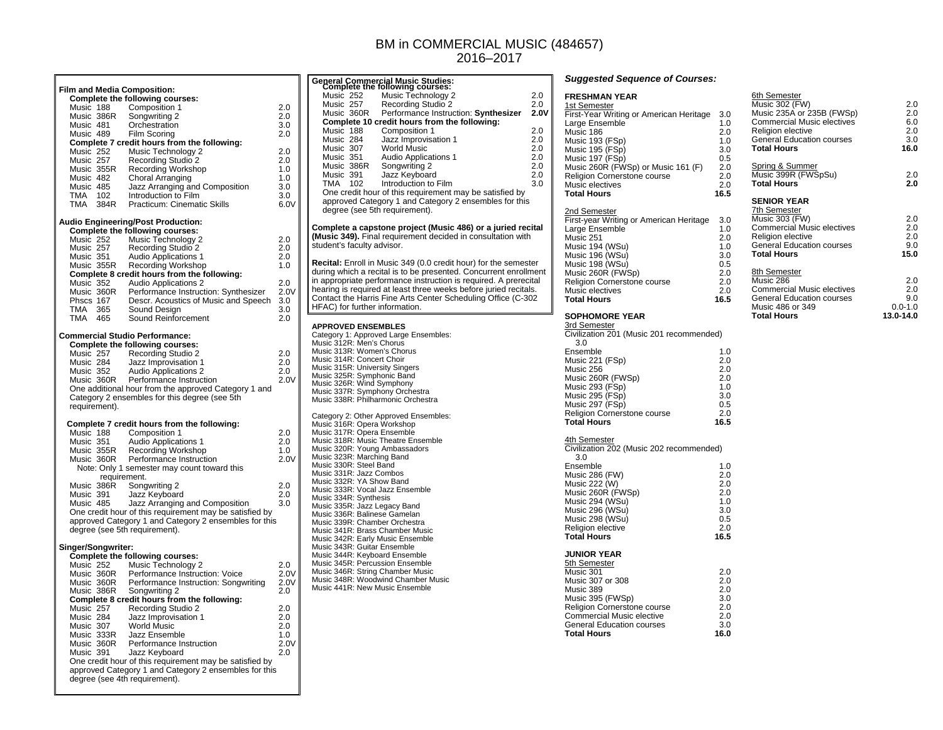## BM in COMMERCIAL MUSIC (484657) 2016–2017

|                                     |                                      | <b>Film and Media Composition:</b>                                                                               |          |
|-------------------------------------|--------------------------------------|------------------------------------------------------------------------------------------------------------------|----------|
|                                     |                                      | <b>Complete the following courses:</b>                                                                           |          |
| Music 188                           |                                      | Composition 1                                                                                                    | 2.0      |
|                                     | Music<br>Music 386R<br>191           | Songwriting 2                                                                                                    | 2.0      |
| Music 481                           |                                      | Orchestration                                                                                                    | 3.0      |
| Music 489                           |                                      | Film Scoring                                                                                                     | 2.0      |
|                                     |                                      | Complete 7 credit hours from the following:                                                                      |          |
| Music 252<br>Music 257              |                                      | Music Technology 2                                                                                               | 2.0      |
|                                     | Music 257<br>Music 355R<br>Music 482 | <b>Recording Studio 2</b>                                                                                        | 2.0      |
|                                     |                                      | <b>Recording Workshop</b>                                                                                        | 1.0      |
| Music 482                           |                                      | Choral Arranging                                                                                                 | 1.0      |
| Music 485                           |                                      | Jazz Arranging and Composition                                                                                   | 3.0      |
| TMA                                 | 102                                  | Introduction to Film                                                                                             | 3.0      |
| TMA                                 | 384R                                 | Practicum: Cinematic Skills                                                                                      | 6.0V     |
|                                     |                                      | <b>Audio Engineering/Post Production:</b>                                                                        |          |
|                                     |                                      | <b>Complete the following courses:</b>                                                                           |          |
| Music 252<br>Music 257<br>Music 351 |                                      | Music Technology 2                                                                                               | 2.0      |
|                                     |                                      | Recording Studio 2                                                                                               | 2.0      |
|                                     |                                      | <b>Audio Applications 1</b>                                                                                      | 2.0      |
|                                     | Music 355R                           | Recording Workshop                                                                                               | 1.0      |
|                                     |                                      | Complete 8 credit hours from the following:                                                                      |          |
|                                     |                                      | Music 352<br>Music 360R<br>Performance Instruct<br>These 167<br>Descr. Acoustics of I                            | 2.0      |
|                                     |                                      | Performance Instruction: Synthesizer                                                                             | 2.0V     |
|                                     |                                      | Descr. Acoustics of Music and Speech                                                                             | 3.0      |
| TMA                                 | 365                                  | Sound Design                                                                                                     | 3.0      |
| TMA                                 | 465                                  | Sound Reinforcement                                                                                              | 2.0      |
|                                     |                                      |                                                                                                                  |          |
|                                     |                                      | <b>Commercial Studio Performance:</b>                                                                            |          |
|                                     |                                      | Complete the following courses:                                                                                  |          |
| Music 257                           |                                      | Recording Studio 2                                                                                               | 2.0      |
| Music 284                           |                                      | Jazz Improvisation 1                                                                                             | $_{2.0}$ |
| Music 352                           |                                      | <b>Audio Applications 2</b>                                                                                      | 2.0      |
|                                     | Music 360R                           | Performance Instruction                                                                                          | 2.0V     |
|                                     |                                      | One additional hour from the approved Category 1 and                                                             |          |
|                                     |                                      | Category 2 ensembles for this degree (see 5th                                                                    |          |
| requirement).                       |                                      |                                                                                                                  |          |
|                                     |                                      |                                                                                                                  |          |
|                                     |                                      | Complete 7 credit hours from the following:                                                                      |          |
| Music 188                           |                                      | Composition 1                                                                                                    | 2.0      |
|                                     | Music 351<br>Music 355R              | <b>Audio Applications 1</b>                                                                                      | 2.0      |
|                                     |                                      | Recording Workshop                                                                                               | 1.0      |
| Music 360R                          |                                      | Performance Instruction                                                                                          | 2.0V     |
|                                     |                                      | Note: Only 1 semester may count toward this                                                                      |          |
|                                     | requirement.                         |                                                                                                                  |          |
| Music 386R                          |                                      | Songwriting 2                                                                                                    | 2.0      |
| Music 391<br>Music 485              |                                      | Jazz Keyboard                                                                                                    | 2.0      |
|                                     |                                      | Jazz Arranging and Composition                                                                                   | 3.0      |
|                                     |                                      | One credit hour of this requirement may be satisfied by                                                          |          |
|                                     |                                      | approved Category 1 and Category 2 ensembles for this                                                            |          |
|                                     |                                      | degree (see 5th requirement).                                                                                    |          |
|                                     | Singer/Songwriter:                   |                                                                                                                  |          |
|                                     |                                      | <b>Complete the following courses:</b>                                                                           |          |
|                                     |                                      | Music Technology 2                                                                                               | 2.0      |
|                                     |                                      |                                                                                                                  |          |
| Music 252                           |                                      |                                                                                                                  |          |
|                                     | Music 360R                           | Performance Instruction: Voice                                                                                   | 2.0V     |
|                                     |                                      | Performance Instruction: Songwriting                                                                             | 2.0V     |
| Music 360R<br>Music 360R            |                                      | Songwriting 2                                                                                                    | 2.0      |
|                                     |                                      | Complete 8 credit hours from the following:                                                                      |          |
| Music 257                           |                                      | Recording Studio 2                                                                                               | 2.0      |
| Music 284                           |                                      | Jazz Improvisation 1                                                                                             | 2.0      |
|                                     |                                      | <b>World Music</b>                                                                                               | 2.0      |
|                                     |                                      | Jazz Ensemble                                                                                                    | 1.0      |
|                                     | Music 204<br>Music 307<br>Music 360R | Performance Instruction                                                                                          | 2.0V     |
| Music 391                           |                                      | Jazz Keyboard                                                                                                    | 2.0      |
|                                     |                                      | One credit hour of this requirement may be satisfied by<br>approved Category 1 and Category 2 ensembles for this |          |

|                                                                                                                                                                                                                                                                                                                                                                                                                                                                                                                                                                                                                                                                                                                                                                                                                                                                                                                         | <b>General Commercial Music Studies:</b><br>Complete the following courses:                                                                                                                                                                                                                                                                 |      |
|-------------------------------------------------------------------------------------------------------------------------------------------------------------------------------------------------------------------------------------------------------------------------------------------------------------------------------------------------------------------------------------------------------------------------------------------------------------------------------------------------------------------------------------------------------------------------------------------------------------------------------------------------------------------------------------------------------------------------------------------------------------------------------------------------------------------------------------------------------------------------------------------------------------------------|---------------------------------------------------------------------------------------------------------------------------------------------------------------------------------------------------------------------------------------------------------------------------------------------------------------------------------------------|------|
| Music 252                                                                                                                                                                                                                                                                                                                                                                                                                                                                                                                                                                                                                                                                                                                                                                                                                                                                                                               | Music Technology 2                                                                                                                                                                                                                                                                                                                          | 2.0  |
| Music 257                                                                                                                                                                                                                                                                                                                                                                                                                                                                                                                                                                                                                                                                                                                                                                                                                                                                                                               | Recording Studio 2                                                                                                                                                                                                                                                                                                                          | 2.0  |
| Music 360R                                                                                                                                                                                                                                                                                                                                                                                                                                                                                                                                                                                                                                                                                                                                                                                                                                                                                                              | Performance Instruction: Synthesizer                                                                                                                                                                                                                                                                                                        | 2.0V |
|                                                                                                                                                                                                                                                                                                                                                                                                                                                                                                                                                                                                                                                                                                                                                                                                                                                                                                                         | Complete 10 credit hours from the following:                                                                                                                                                                                                                                                                                                | 2.0  |
| Music 188<br>Music 284                                                                                                                                                                                                                                                                                                                                                                                                                                                                                                                                                                                                                                                                                                                                                                                                                                                                                                  | Composition 1<br>Jazz Improvisation 1                                                                                                                                                                                                                                                                                                       | 2.0  |
|                                                                                                                                                                                                                                                                                                                                                                                                                                                                                                                                                                                                                                                                                                                                                                                                                                                                                                                         | World Music                                                                                                                                                                                                                                                                                                                                 | 2.0  |
| Music 307<br>Music 351<br>Music 386R                                                                                                                                                                                                                                                                                                                                                                                                                                                                                                                                                                                                                                                                                                                                                                                                                                                                                    | Audio Applications 1                                                                                                                                                                                                                                                                                                                        | 2.0  |
|                                                                                                                                                                                                                                                                                                                                                                                                                                                                                                                                                                                                                                                                                                                                                                                                                                                                                                                         | Songwriting 2                                                                                                                                                                                                                                                                                                                               | 2.0  |
| Music 391                                                                                                                                                                                                                                                                                                                                                                                                                                                                                                                                                                                                                                                                                                                                                                                                                                                                                                               | Jazz Keyboard                                                                                                                                                                                                                                                                                                                               | 2.0  |
| TMA<br>102                                                                                                                                                                                                                                                                                                                                                                                                                                                                                                                                                                                                                                                                                                                                                                                                                                                                                                              | Introduction to Film                                                                                                                                                                                                                                                                                                                        | 3.0  |
|                                                                                                                                                                                                                                                                                                                                                                                                                                                                                                                                                                                                                                                                                                                                                                                                                                                                                                                         | One credit hour of this requirement may be satisfied by<br>approved Category 1 and Category 2 ensembles for this                                                                                                                                                                                                                            |      |
| degree (see 5th requirement).                                                                                                                                                                                                                                                                                                                                                                                                                                                                                                                                                                                                                                                                                                                                                                                                                                                                                           |                                                                                                                                                                                                                                                                                                                                             |      |
| student's faculty advisor.                                                                                                                                                                                                                                                                                                                                                                                                                                                                                                                                                                                                                                                                                                                                                                                                                                                                                              | Complete a capstone project (Music 486) or a juried recital<br>(Music 349). Final requirement decided in consultation with                                                                                                                                                                                                                  |      |
| HFAC) for further information.                                                                                                                                                                                                                                                                                                                                                                                                                                                                                                                                                                                                                                                                                                                                                                                                                                                                                          | Recital: Enroll in Music 349 (0.0 credit hour) for the semester<br>during which a recital is to be presented. Concurrent enrollment<br>in appropriate performance instruction is required. A prerecital<br>hearing is required at least three weeks before juried recitals.<br>Contact the Harris Fine Arts Center Scheduling Office (C-302 |      |
| <b>APPROVED ENSEMBLES</b><br>Music 313R: Women's Chorus<br>Music 314R: Concert Choir<br>Music 315R: University Singers<br>Music 325R: Symphonic Band<br>Music 326R: Wind Symphony<br>Music 337R: Symphony Orchestra<br>Music 338R: Philharmonic Orchestra<br>Music 316R: Opera Workshop<br>Music 317R: Opera Ensemble<br>Music 318R: Music Theatre Ensemble<br>Music 320R: Young Ambassadors<br>Music 323R: Marching Band<br>Music 330R: Steel Band<br>Music 331R: Jazz Combos<br>Music 332R: YA Show Band<br>Music 333R: Vocal Jazz Ensemble<br>Music 334R: Synthesis<br>Music 335R: Jazz Legacy Band<br>Music 336R: Balinese Gamelan<br>Music 339R: Chamber Orchestra<br>Music 341R: Brass Chamber Music<br>Music 342R: Early Music Ensemble<br>Music 343R: Guitar Ensemble<br>Music 344R: Keyboard Ensemble<br>Music 345R: Percussion Ensemble<br>Music 346R: String Chamber Music<br>Music 441R: New Music Ensemble | Category 1: Approved Large Ensembles:<br>Music 312R: Men's Chorus<br>Category 2: Other Approved Ensembles:<br>Music 348R: Woodwind Chamber Music                                                                                                                                                                                            |      |

### *Suggested Sequence of Courses:*

Music 221 (FSp) 2.0<br>Music 256 2.0

Music 260R (FWSp) 2.0<br>Music 293 (FSp) 2.0<br>1.0 Music 293 (FSp) 1.0 Music 295 (FSp) 3.0 Music 297 (FSp) 0.5<br>Religion Cornerstone course 0.2.0

<u>4th Semester</u><br>Civilization 202 (Music 202 recommended)

Ensemble 1.0

Music 286 (FW) 2.0<br>Music 222 (W) 2.0 Music 222 (W) 2.0 Music 260R (FWSp) 2.0 Music 294 (WSu) 1.0<br>Music 296 (WSu) 3.0 Music 298 (WSu) 0.5<br>
Religion elective 2.0 Religion elective 2.0 **Total Hours 16.5** 

Music 301 2.0

Music 395 (FWSp) 3.0<br>Religion Cornerstone course 2.0 Religion Cornerstone course 2.0<br>
Commercial Music elective 2.0

Religion Cornerstone course

Music 256

**Total Hours 16.5** 

**JUNIOR YEAR**  5th Semester

Music 307 or 308 Music 389

**Total Hours** 

Commercial Music elective

General Education courses

3.0

| <b>FRESHMAN YEAR</b>                     |      | 6th Semester                      |             |
|------------------------------------------|------|-----------------------------------|-------------|
| 1st Semester                             |      | Music 302 (FW)                    | 2.0         |
| First-Year Writing or American Heritage  | 3.0  | Music 235A or 235B (FWSp)         | 2.0         |
| Large Ensemble                           | 1.0  | <b>Commercial Music electives</b> | 6.0         |
| Music 186                                | 2.0  | Religion elective                 | 2.0         |
| Music 193 (FSp)                          | 1.0  | <b>General Education courses</b>  | 3.0         |
| Music 195 (FSp)                          | 3.0  | <b>Total Hours</b>                | 16.0        |
| Music 197 (FSp)                          | 0.5  |                                   |             |
| Music 260R (FWSp) or Music 161 (F)       | 2.0  | Spring & Summer                   |             |
| Religion Cornerstone course              | 2.0  | Music 399R (FWSpSu)               | 2.0         |
| Music electives                          | 2.0  | <b>Total Hours</b>                | 2.0         |
| <b>Total Hours</b>                       | 16.5 |                                   |             |
|                                          |      | <b>SENIOR YEAR</b>                |             |
| 2nd Semester                             |      | 7th Semester                      |             |
| First-year Writing or American Heritage  | 3.0  | Music 303 (FW)                    | 2.0         |
| Large Ensemble                           | 1.0  | <b>Commercial Music electives</b> | 2.0         |
| Music 251                                | 2.0  | Religion elective                 | 2.0         |
| Music 194 (WSu)                          | 1.0  | <b>General Education courses</b>  | 9.0         |
| Music 196 (WSu)                          | 3.0  | <b>Total Hours</b>                | 15.0        |
| Music 198 (WSu)                          | 0.5  |                                   |             |
| Music 260R (FWSp)                        | 2.0  | 8th Semester                      |             |
| Religion Cornerstone course              | 2.0  | Music 286                         | 2.0         |
| Music electives                          | 2.0  | <b>Commercial Music electives</b> | 2.0         |
| <b>Total Hours</b>                       | 16.5 | <b>General Education courses</b>  | 9.0         |
|                                          |      | Music 486 or 349                  | $0.0 - 1.0$ |
| <b>SOPHOMORE YEAR</b>                    |      | <b>Total Hours</b>                | 13.0-14.0   |
| 3rd Semester                             |      |                                   |             |
| Civilization 201 (Music 201 recommended) |      |                                   |             |
| 3.0                                      |      |                                   |             |
| Ensemble                                 | 1.0  |                                   |             |
| Music 221 (FSp)                          | 2.0  |                                   |             |

 $\overline{2.0}$ 

 $16.5$ 

 $\frac{1.0}{2.0}$ 

16.5

 $2.0$ 

 $3.0$